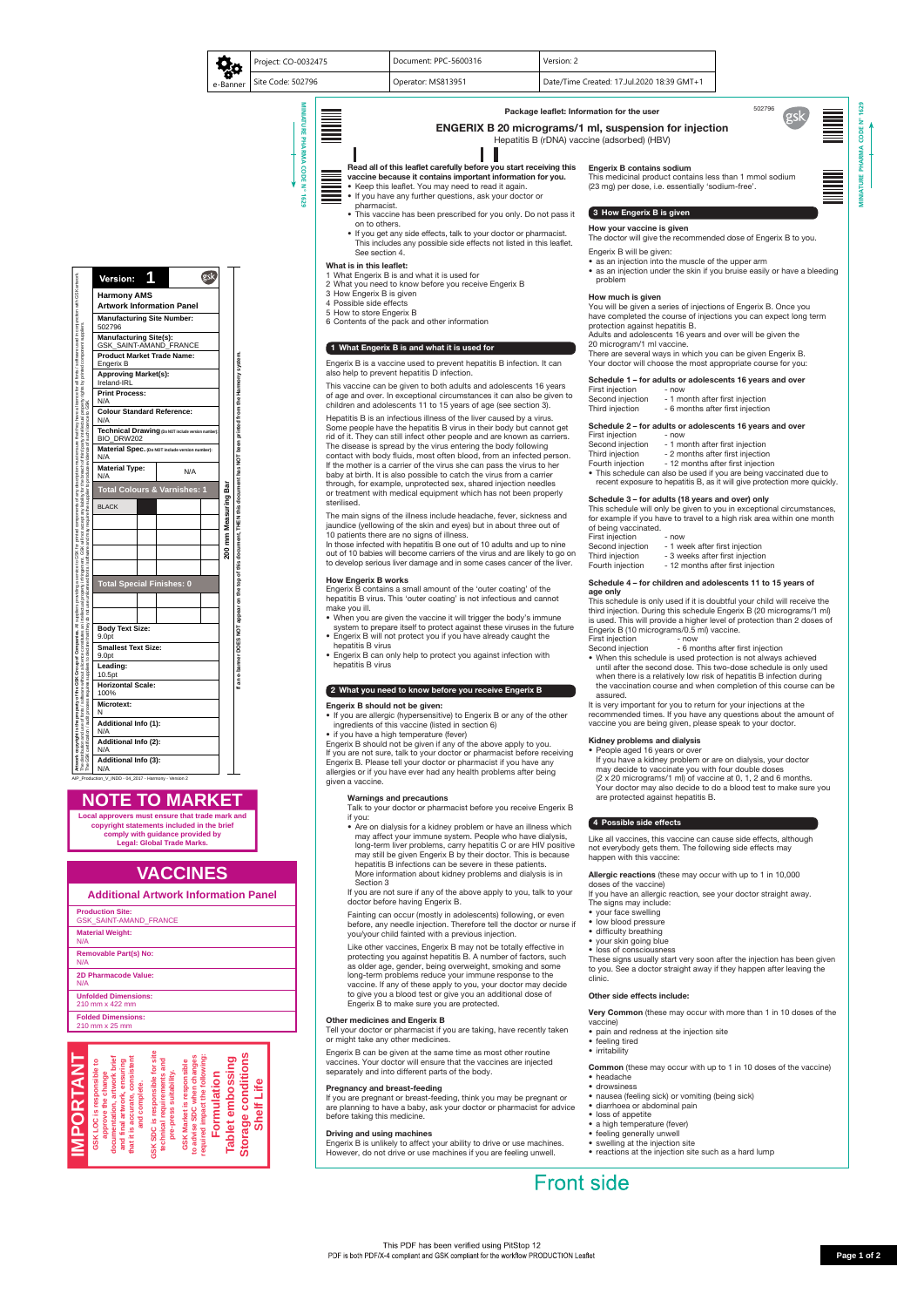

## Read all of this leaflet carefully before you start receiving this

- vaccine because it contains important information for you.
- Keep this leaflet. You may need to read it again. • If you have any further questions, ask your doctor or
- pharmacist.
- This vaccine has been prescribed for you only. Do not pass it on to others.
- If you get any side effects, talk to your doctor or pharmacist. This includes any possible side effects not listed in this leaflet. See section 4.

#### What is in this leaflet:

- 1 What Engerix B is and what it is used for
- 2 What you need to know before you receive Engerix B
- 3 How Engerix B is given
- 4 Possible side effects
- 5 How to store Engerix B
- 6 Contents of the pack and other information

#### 1 What Engerix B is and what it is used for

Engerix B is a vaccine used to prevent hepatitis B infection. It can also help to prevent hepatitis D infection.

This vaccine can be given to both adults and adolescents 16 years of age and over. In exceptional circumstances it can also be given to children and adolescents 11 to 15 years of age (see section 3).

Hepatitis B is an infectious illness of the liver caused by a virus. Some people have the hepatitis B virus in their body but cannot get rid of it. They can still infect other people and are known as carriers. The disease is spread by the virus entering the body following contact with body fluids, most often blood, from an infected person. If the mother is a carrier of the virus she can pass the virus to her baby at birth. It is also possible to catch the virus from a carrier through, for example, unprotected sex, shared injection needles or treatment with medical equipment which has not been properly sterilised.

The main signs of the illness include headache, fever, sickness and jaundice (yellowing of the skin and eyes) but in about three out of 10 patients there are no signs of illness.

- Are on dialysis for a kidney problem or have an illness which may affect your immune system. People who have dialysis, long-term liver problems, carry hepatitis C or are HIV positive may still be given Engerix B by their doctor. This is because hepatitis B infections can be severe in these patients. More information about kidney problems and dialysis is in Section 3
- If you are not sure if any of the above apply to you, talk to your

In those infected with hepatitis B one out of 10 adults and up to nine out of 10 babies will become carriers of the virus and are likely to go on to develop serious liver damage and in some cases cancer of the liver.

#### How Engerix B works

Engerix B contains a small amount of the 'outer coating' of the hepatitis B virus. This 'outer coating' is not infectious and cannot make you ill.

- When you are given the vaccine it will trigger the body's immune system to prepare itself to protect against these viruses in the future
- Engerix B will not protect you if you have already caught the hepatitis B virus
- Engerix B can only help to protect you against infection with hepatitis B virus

#### 2 What you need to know before you receive Engerix B

#### Engerix B should not be given:

- If you are allergic (hypersensitive) to Engerix B or any of the other ingredients of this vaccine (listed in section 6)
- if you have a high temperature (fever)

Engerix B should not be given if any of the above apply to you. If you are not sure, talk to your doctor or pharmacist before receiving Engerix B. Please tell your doctor or pharmacist if you have any allergies or if you have ever had any health problems after being given a vaccine.

#### Warnings and precautions

Talk to your doctor or pharmacist before you receive Engerix B if you:

- Second injection 6 months after first injection
- When this schedule is used protection is not always achieved until after the second dose. This two-dose schedule is only used when there is a relatively low risk of hepatitis B infection during the vaccination course and when completion of this course can be assured.

doctor before having Engerix B.

Fainting can occur (mostly in adolescents) following, or even before, any needle injection. Therefore tell the doctor or nurse if you/your child fainted with a previous injection.

Allergic reactions (these may occur with up to 1 in 10,000 doses of the vaccine)

Like other vaccines, Engerix B may not be totally effective in protecting you against hepatitis B. A number of factors, such as older age, gender, being overweight, smoking and some long-term problems reduce your immune response to the vaccine. If any of these apply to you, your doctor may decide to give you a blood test or give you an additional dose of Engerix B to make sure you are protected.

#### Other medicines and Engerix B

Very Common (these may occur with more than 1 in 10 doses of the vaccine)

Tell your doctor or pharmacist if you are taking, have recently taken or might take any other medicines.

Engerix B can be given at the same time as most other routine vaccines. Your doctor will ensure that the vaccines are injected separately and into different parts of the body.

#### Pregnancy and breast-feeding

If you are pregnant or breast-feeding, think you may be pregnant or are planning to have a baby, ask your doctor or pharmacist for advice before taking this medicine.

#### Driving and using machines

Engerix B is unlikely to affect your ability to drive or use machines. However, do not drive or use machines if you are feeling unwell.

#### Engerix B contains sodium

This medicinal product contains less than 1 mmol sodium (23 mg) per dose, i.e. essentially 'sodium-free'.

#### $3$  How Engerix B is given

How your vaccine is given

The doctor will give the recommended dose of Engerix B to you.

Engerix B will be given:

- as an injection into the muscle of the upper arm
- as an injection under the skin if you bruise easily or have a bleeding problem

#### How much is given

You will be given a series of injections of Engerix B. Once you have completed the course of injections you can expect long term protection against hepatitis B.

Adults and adolescents 16 years and over will be given the 20 microgram/1 ml vaccine.

There are several ways in which you can be given Engerix B. Your doctor will choose the most appropriate course for you:

#### Schedule 1 – for adults or adolescents 16 years and over

| First injection |  |  |
|-----------------|--|--|
|                 |  |  |

- Second injection 1 month after first injection
- Third injection 6 months after first injection

### Schedule 2 – for adults or adolescents 16 years and over

- First injection now
- Second injection 1 month after first injection
- Third injection 2 months after first injection
- Fourth injection 12 months after first injection

- now

• This schedule can also be used if you are being vaccinated due to recent exposure to hepatitis B, as it will give protection more quickly.

#### Schedule 3 – for adults (18 years and over) only

This schedule will only be given to you in exceptional circumstances, for example if you have to travel to a high risk area within one month of being vaccinated.

First injection - now

- Second injection 1 week after first injection
- Third injection 3 weeks after first injection
- Fourth injection 12 months after first injection

#### Schedule 4 – for children and adolescents 11 to 15 years of age only

This schedule is only used if it is doubtful your child will receive the third injection. During this schedule Engerix B (20 micrograms/1 ml) is used. This will provide a higher level of protection than 2 doses of Engerix B (10 micrograms/0.5 ml) vaccine.

First injection **- now** 

It is very important for you to return for your injections at the recommended times. If you have any questions about the amount of vaccine you are being given, please speak to your doctor.

#### Kidney problems and dialysis

People aged 16 years or over

 If you have a kidney problem or are on dialysis, your doctor may decide to vaccinate you with four double doses (2 x 20 micrograms/1 ml) of vaccine at 0, 1, 2 and 6 months. Your doctor may also decide to do a blood test to make sure you are protected against hepatitis B.

#### 4 Possible side effects

Like all vaccines, this vaccine can cause side effects, although not everybody gets them. The following side effects may happen with this vaccine:

If you have an allergic reaction, see your doctor straight away.



The signs may include:

- your face swelling
- low blood pressure
- difficulty breathing
- your skin going blue
- loss of consciousness

These signs usually start very soon after the injection has been given to you. See a doctor straight away if they happen after leaving the clinic.

#### Other side effects include:

- pain and redness at the injection site
- feeling tired
- irritability

Common (these may occur with up to 1 in 10 doses of the vaccine)

- headache
- drowsiness
- nausea (feeling sick) or vomiting (being sick)
- diarrhoea or abdominal pain
- loss of appetite
- a high temperature (fever)
- feeling generally unwell
- swelling at the injection site
- reactions at the injection site such as a hard lump

# **Front side**



ENGERIX B 20 micrograms/1 ml, suspension for injection Hepatitis B (rDNA) vaccine (adsorbed) (HBV)